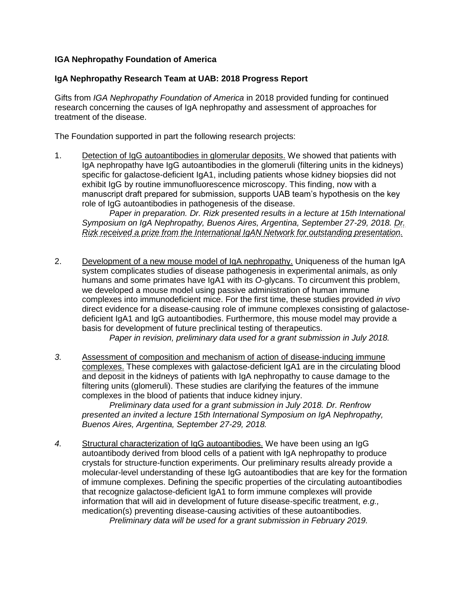## **IGA Nephropathy Foundation of America**

## **IgA Nephropathy Research Team at UAB: 2018 Progress Report**

Gifts from *IGA Nephropathy Foundation of America* in 2018 provided funding for continued research concerning the causes of IgA nephropathy and assessment of approaches for treatment of the disease.

The Foundation supported in part the following research projects:

1. Detection of IgG autoantibodies in glomerular deposits. We showed that patients with IgA nephropathy have IgG autoantibodies in the glomeruli (filtering units in the kidneys) specific for galactose-deficient IgA1, including patients whose kidney biopsies did not exhibit IgG by routine immunofluorescence microscopy. This finding, now with a manuscript draft prepared for submission, supports UAB team's hypothesis on the key role of IgG autoantibodies in pathogenesis of the disease.

*Paper in preparation. Dr. Rizk presented results in a lecture at 15th International Symposium on IgA Nephropathy, Buenos Aires, Argentina, September 27-29, 2018. Dr. Rizk received a prize from the International IgAN Network for outstanding presentation.*

2. Development of a new mouse model of IgA nephropathy. Uniqueness of the human IgA system complicates studies of disease pathogenesis in experimental animals, as only humans and some primates have IgA1 with its *O*-glycans. To circumvent this problem, we developed a mouse model using passive administration of human immune complexes into immunodeficient mice. For the first time, these studies provided *in vivo* direct evidence for a disease-causing role of immune complexes consisting of galactosedeficient IgA1 and IgG autoantibodies. Furthermore, this mouse model may provide a basis for development of future preclinical testing of therapeutics.

*Paper in revision, preliminary data used for a grant submission in July 2018.*

*3.* Assessment of composition and mechanism of action of disease-inducing immune complexes. These complexes with galactose-deficient IgA1 are in the circulating blood and deposit in the kidneys of patients with IgA nephropathy to cause damage to the filtering units (glomeruli). These studies are clarifying the features of the immune complexes in the blood of patients that induce kidney injury.

*Preliminary data used for a grant submission in July 2018. Dr. Renfrow presented an invited a lecture 15th International Symposium on IgA Nephropathy, Buenos Aires, Argentina, September 27-29, 2018.*

*4.* Structural characterization of IgG autoantibodies. We have been using an IgG autoantibody derived from blood cells of a patient with IgA nephropathy to produce crystals for structure-function experiments. Our preliminary results already provide a molecular-level understanding of these IgG autoantibodies that are key for the formation of immune complexes. Defining the specific properties of the circulating autoantibodies that recognize galactose-deficient IgA1 to form immune complexes will provide information that will aid in development of future disease-specific treatment, *e.g.,* medication(s) preventing disease-causing activities of these autoantibodies.

*Preliminary data will be used for a grant submission in February 2019.*